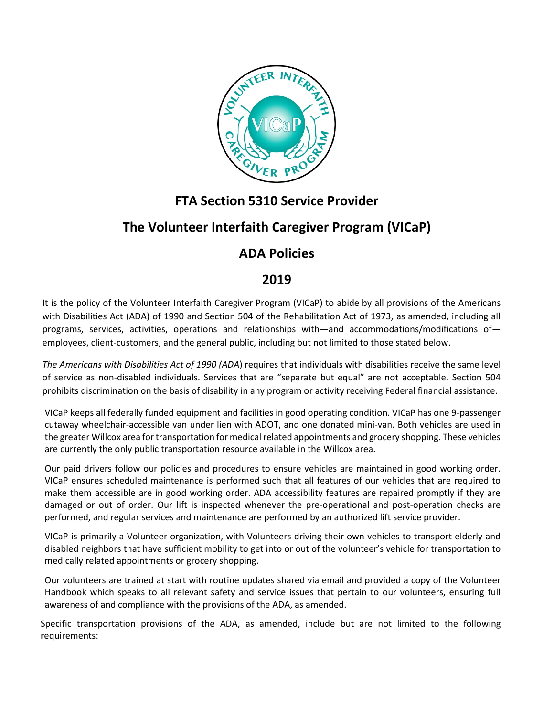

## **FTA Section 5310 Service Provider**

## **The Volunteer Interfaith Caregiver Program (VICaP)**

## **ADA Policies**

## **2019**

It is the policy of the Volunteer Interfaith Caregiver Program (VICaP) to abide by all provisions of the Americans with Disabilities Act (ADA) of 1990 and Section 504 of the Rehabilitation Act of 1973, as amended, including all programs, services, activities, operations and relationships with—and accommodations/modifications of employees, client-customers, and the general public, including but not limited to those stated below.

*The Americans with Disabilities Act of 1990 (ADA*) requires that individuals with disabilities receive the same level of service as non-disabled individuals. Services that are "separate but equal" are not acceptable. Section 504 prohibits discrimination on the basis of disability in any program or activity receiving Federal financial assistance.

VICaP keeps all federally funded equipment and facilities in good operating condition. VICaP has one 9-passenger cutaway wheelchair-accessible van under lien with ADOT, and one donated mini-van. Both vehicles are used in the greater Willcox area for transportation for medical related appointments and grocery shopping. These vehicles are currently the only public transportation resource available in the Willcox area.

Our paid drivers follow our policies and procedures to ensure vehicles are maintained in good working order. VICaP ensures scheduled maintenance is performed such that all features of our vehicles that are required to make them accessible are in good working order. ADA accessibility features are repaired promptly if they are damaged or out of order. Our lift is inspected whenever the pre-operational and post-operation checks are performed, and regular services and maintenance are performed by an authorized lift service provider.

VICaP is primarily a Volunteer organization, with Volunteers driving their own vehicles to transport elderly and disabled neighbors that have sufficient mobility to get into or out of the volunteer's vehicle for transportation to medically related appointments or grocery shopping.

Our volunteers are trained at start with routine updates shared via email and provided a copy of the Volunteer Handbook which speaks to all relevant safety and service issues that pertain to our volunteers, ensuring full awareness of and compliance with the provisions of the ADA, as amended.

Specific transportation provisions of the ADA, as amended, include but are not limited to the following requirements: